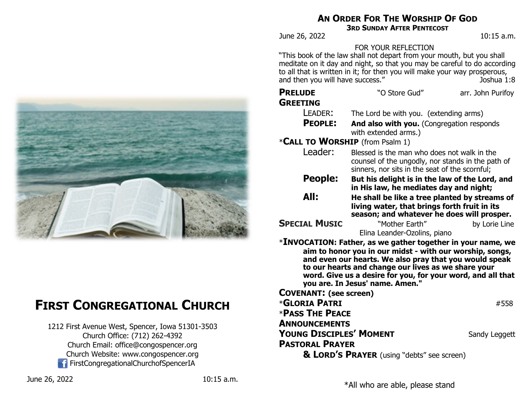

# **FIRST CONGREGATIONAL CHURCH**

1212 First Avenue West, Spencer, Iowa 51301-3503 Church Office: (712) 262-4392 Church Email: office@congospencer.org Church Website: www.congospencer.org FirstCongregationalChurchofSpencerIA

## **AN ORDER FOR THE WORSHIP OF GOD**

**3RD SUNDAY AFTER PENTECOST**

June 26, 2022 10:15 a.m.

### FOR YOUR REFLECTION

"This book of the law shall not depart from your mouth, but you shall meditate on it day and night, so that you may be careful to do according to all that is written in it; for then you will make your way prosperous, and then you will have success."

| <b>PRELUDE</b><br><b>GREETING</b>                                                                                                                                                                                                                                                                                                                         | "O Store Gud"                                                                                                                                      | arr. John Purifoy |  |  |
|-----------------------------------------------------------------------------------------------------------------------------------------------------------------------------------------------------------------------------------------------------------------------------------------------------------------------------------------------------------|----------------------------------------------------------------------------------------------------------------------------------------------------|-------------------|--|--|
| LEADER:                                                                                                                                                                                                                                                                                                                                                   | The Lord be with you. (extending arms)                                                                                                             |                   |  |  |
| <b>PEOPLE:</b>                                                                                                                                                                                                                                                                                                                                            | And also with you. (Congregation responds<br>with extended arms.)                                                                                  |                   |  |  |
| *CALL TO WORSHIP (from Psalm 1)                                                                                                                                                                                                                                                                                                                           |                                                                                                                                                    |                   |  |  |
| Leader:                                                                                                                                                                                                                                                                                                                                                   | Blessed is the man who does not walk in the<br>counsel of the ungodly, nor stands in the path of<br>sinners, nor sits in the seat of the scornful; |                   |  |  |
| People:                                                                                                                                                                                                                                                                                                                                                   | But his delight is in the law of the Lord, and                                                                                                     |                   |  |  |
|                                                                                                                                                                                                                                                                                                                                                           | in His law, he mediates day and night;                                                                                                             |                   |  |  |
| All:                                                                                                                                                                                                                                                                                                                                                      | He shall be like a tree planted by streams of                                                                                                      |                   |  |  |
|                                                                                                                                                                                                                                                                                                                                                           | living water, that brings forth fruit in its<br>season; and whatever he does will prosper.                                                         |                   |  |  |
| <b>SPECIAL MUSIC</b>                                                                                                                                                                                                                                                                                                                                      | "Mother Earth"                                                                                                                                     | by Lorie Line     |  |  |
|                                                                                                                                                                                                                                                                                                                                                           | Elina Leander-Ozolins, piano                                                                                                                       |                   |  |  |
| $\mathbf{\ast}$ INVOCATION: Father, as we gather together in your name, we<br>aim to honor you in our midst - with our worship, songs,<br>and even our hearts. We also pray that you would speak<br>to our hearts and change our lives as we share your<br>word. Give us a desire for you, for your word, and all that<br>you are. In Jesus' name. Amen." |                                                                                                                                                    |                   |  |  |
| <b>COVENANT: (see screen)</b>                                                                                                                                                                                                                                                                                                                             |                                                                                                                                                    |                   |  |  |
| <b>*GLORIA PATRI</b><br>#558                                                                                                                                                                                                                                                                                                                              |                                                                                                                                                    |                   |  |  |
| <b>*PASS THE PEACE</b>                                                                                                                                                                                                                                                                                                                                    |                                                                                                                                                    |                   |  |  |
| <b>ANNOUNCEMENTS</b>                                                                                                                                                                                                                                                                                                                                      |                                                                                                                                                    |                   |  |  |
| Young Disciples' Moment                                                                                                                                                                                                                                                                                                                                   |                                                                                                                                                    | Sandy Leggett     |  |  |
| <b>PASTORAL PRAYER</b>                                                                                                                                                                                                                                                                                                                                    |                                                                                                                                                    |                   |  |  |
| & LORD'S PRAYER (using "debts" see screen)                                                                                                                                                                                                                                                                                                                |                                                                                                                                                    |                   |  |  |
|                                                                                                                                                                                                                                                                                                                                                           |                                                                                                                                                    |                   |  |  |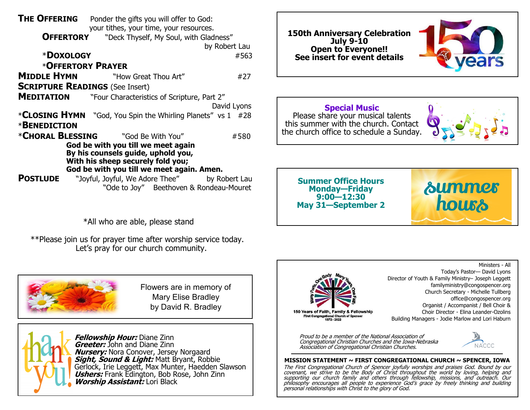| <b>THE OFFERING</b><br>Ponder the gifts you will offer to God: |                                                               |               |  |  |
|----------------------------------------------------------------|---------------------------------------------------------------|---------------|--|--|
|                                                                | your tithes, your time, your resources.                       |               |  |  |
| <b>OFFERTORY</b>                                               | "Deck Thyself, My Soul, with Gladness"                        |               |  |  |
|                                                                | by Robert Lau                                                 |               |  |  |
| *DOXOLOGY                                                      |                                                               | #563          |  |  |
| *OFFERTORY PRAYER                                              |                                                               |               |  |  |
|                                                                | <b>MIDDLE HYMN</b> "How Great Thou Art"                       | #27           |  |  |
| <b>SCRIPTURE READINGS (See Insert)</b>                         |                                                               |               |  |  |
|                                                                | <b>MEDITATION</b> "Four Characteristics of Scripture, Part 2" |               |  |  |
|                                                                |                                                               | David Lyons   |  |  |
|                                                                | *CLOSING HYMN "God, You Spin the Whirling Planets" vs 1 #28   |               |  |  |
| <b>*BENEDICTION</b>                                            |                                                               |               |  |  |
|                                                                | *CHORAL BLESSING "God Be With You"                            | #580          |  |  |
| God be with you till we meet again                             |                                                               |               |  |  |
| By his counsels guide, uphold you,                             |                                                               |               |  |  |
| With his sheep securely fold you;                              |                                                               |               |  |  |
| God be with you till we meet again. Amen.                      |                                                               |               |  |  |
| <b>POSTLUDE</b>                                                | "Joyful, Joyful, We Adore Thee"                               | by Robert Lau |  |  |
| "Ode to Joy" Beethoven & Rondeau-Mouret                        |                                                               |               |  |  |

\*All who are able, please stand

 \*\*Please join us for prayer time after worship service today. Let's pray for our church community.



Flowers are in memory of Mary Elise Bradley by David R. Bradley



**150th Anniversary Celebration July 9-10 Open to Everyone!! See insert for event details**



**Special Music** Please share your musical talents this summer with the church. Contact the church office to schedule a Sunday.



**Summer Office Hours Monday—Friday 9:00—12:30 May 31—September 2**





Ministers - All Today's Pastor— David Lyons Director of Youth & Family Ministry– Joseph Leggett familyministry@congospencer.org Church Secretary - Michelle Tullberg office@congospencer.org Organist / Accompanist / Bell Choir & Choir Director - Elina Leander-Ozolins Building Managers - Jodie Marlow and Lori Haburn

Proud to be a member of the National Association of Congregational Christian Churches and the Iowa-Nebraska Association of Congregational Christian Churches.



#### **MISSION STATEMENT ~ FIRST CONGREGATIONAL CHURCH ~ SPENCER, IOWA**

The First Congregational Church of Spencer joyfully worships and praises God. Bound by our covenant, we strive to be the Body of Christ throughout the world by loving, helping and supporting our church family and others through fellowship, missions, and outreach. Our philosophy encourages all people to experience God's grace by freely thinking and building personal relationships with Christ to the glory of God.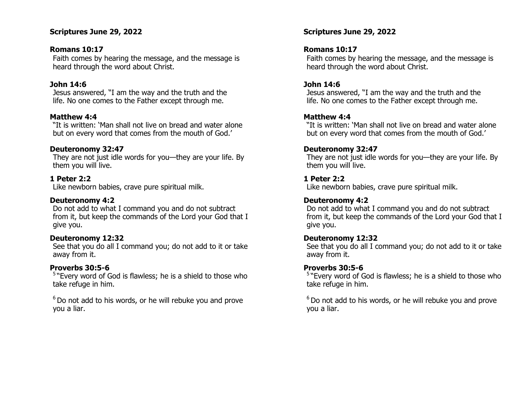#### **Scriptures June 29, 2022**

#### **Romans 10:17**

Faith comes by hearing the message, and the message is heard through the word about Christ.

#### **John 14:6**

Jesus answered, "I am the way and the truth and the life. No one comes to the Father except through me.

#### **Matthew 4:4**

"It is written: 'Man shall not live on bread and water alone but on every word that comes from the mouth of God.'

#### **Deuteronomy 32:47**

They are not just idle words for you—they are your life. By them you will live.

#### **1 Peter 2:2**

Like newborn babies, crave pure spiritual milk.

#### **Deuteronomy 4:2**

Do not add to what I command you and do not subtract from it, but keep the commands of the Lord your God that I give you.

#### **Deuteronomy 12:32**

See that you do all I command you; do not add to it or take away from it.

#### **Proverbs 30:5-6**

<sup>5</sup> "Every word of God is flawless; he is a shield to those who take refuge in him.

 $6$  Do not add to his words, or he will rebuke you and prove you a liar.

#### **Scriptures June 29, 2022**

#### **Romans 10:17**

Faith comes by hearing the message, and the message is heard through the word about Christ.

#### **John 14:6**

Jesus answered, "I am the way and the truth and the life. No one comes to the Father except through me.

#### **Matthew 4:4**

"It is written: 'Man shall not live on bread and water alone but on every word that comes from the mouth of God.'

#### **Deuteronomy 32:47**

They are not just idle words for you—they are your life. By them you will live.

#### **1 Peter 2:2**

Like newborn babies, crave pure spiritual milk.

#### **Deuteronomy 4:2**

Do not add to what I command you and do not subtract from it, but keep the commands of the Lord your God that I give you.

#### **Deuteronomy 12:32**

See that you do all I command you; do not add to it or take away from it.

#### **Proverbs 30:5-6**

<sup>5</sup> "Every word of God is flawless; he is a shield to those who take refuge in him.

 $6$  Do not add to his words, or he will rebuke you and prove you a liar.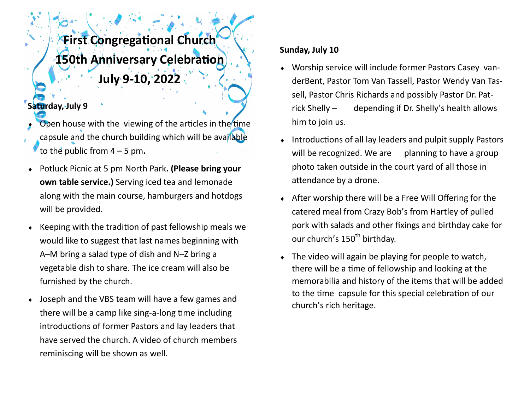# **First Congregational Church 150th Anniversary Celebration July 9-10, 2022**

## **Saturday, July 9**

- Open house with the viewing of the articles in the time capsule and the church building which will be available to the public from 4 – 5 pm**.**
- Potluck Picnic at 5 pm North Park**. (Please bring your own table service.)** Serving iced tea and lemonade along with the main course, hamburgers and hotdogs will be provided.
- Keeping with the tradition of past fellowship meals we would like to suggest that last names beginning with A–M bring a salad type of dish and N–Z bring a vegetable dish to share. The ice cream will also be furnished by the church.
- Joseph and the VBS team will have a few games and there will be a camp like sing-a-long time including introductions of former Pastors and lay leaders that have served the church. A video of church members reminiscing will be shown as well.

### **Sunday, July 10**

- Worship service will include former Pastors Casey vanderBent, Pastor Tom Van Tassell, Pastor Wendy Van Tassell, Pastor Chris Richards and possibly Pastor Dr. Patrick Shelly – depending if Dr. Shelly's health allows him to join us.
- Introductions of all lay leaders and pulpit supply Pastors will be recognized. We are planning to have a group photo taken outside in the court yard of all those in attendance by a drone.
- After worship there will be a Free Will Offering for the catered meal from Crazy Bob's from Hartley of pulled pork with salads and other fixings and birthday cake for our church's 150<sup>th</sup> birthday.
- The video will again be playing for people to watch, there will be a time of fellowship and looking at the memorabilia and history of the items that will be added to the time capsule for this special celebration of our church's rich heritage.